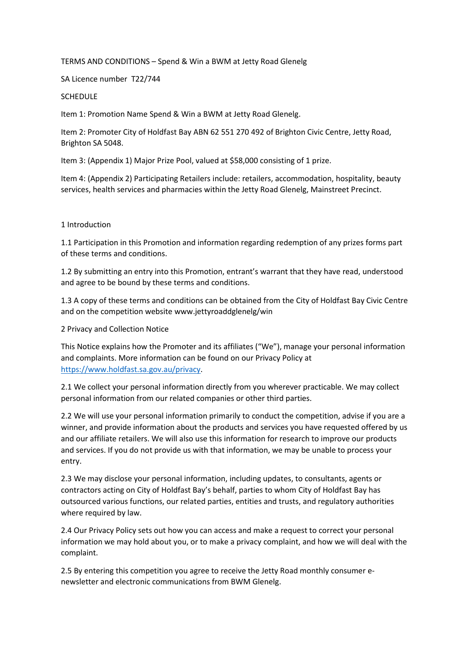### TERMS AND CONDITIONS – Spend & Win a BWM at Jetty Road Glenelg

SA Licence number T22/744

#### **SCHEDULE**

Item 1: Promotion Name Spend & Win a BWM at Jetty Road Glenelg.

Item 2: Promoter City of Holdfast Bay ABN 62 551 270 492 of Brighton Civic Centre, Jetty Road, Brighton SA 5048.

Item 3: (Appendix 1) Major Prize Pool, valued at \$58,000 consisting of 1 prize.

Item 4: (Appendix 2) Participating Retailers include: retailers, accommodation, hospitality, beauty services, health services and pharmacies within the Jetty Road Glenelg, Mainstreet Precinct.

### 1 Introduction

1.1 Participation in this Promotion and information regarding redemption of any prizes forms part of these terms and conditions.

1.2 By submitting an entry into this Promotion, entrant's warrant that they have read, understood and agree to be bound by these terms and conditions.

1.3 A copy of these terms and conditions can be obtained from the City of Holdfast Bay Civic Centre and on the competition website www.jettyroaddglenelg/win

2 Privacy and Collection Notice

This Notice explains how the Promoter and its affiliates ("We"), manage your personal information and complaints. More information can be found on our Privacy Policy at [https://www.holdfast.sa.gov.au/privacy.](https://www.holdfast.sa.gov.au/privacy)

2.1 We collect your personal information directly from you wherever practicable. We may collect personal information from our related companies or other third parties.

2.2 We will use your personal information primarily to conduct the competition, advise if you are a winner, and provide information about the products and services you have requested offered by us and our affiliate retailers. We will also use this information for research to improve our products and services. If you do not provide us with that information, we may be unable to process your entry.

2.3 We may disclose your personal information, including updates, to consultants, agents or contractors acting on City of Holdfast Bay's behalf, parties to whom City of Holdfast Bay has outsourced various functions, our related parties, entities and trusts, and regulatory authorities where required by law.

2.4 Our Privacy Policy sets out how you can access and make a request to correct your personal information we may hold about you, or to make a privacy complaint, and how we will deal with the complaint.

2.5 By entering this competition you agree to receive the Jetty Road monthly consumer enewsletter and electronic communications from BWM Glenelg.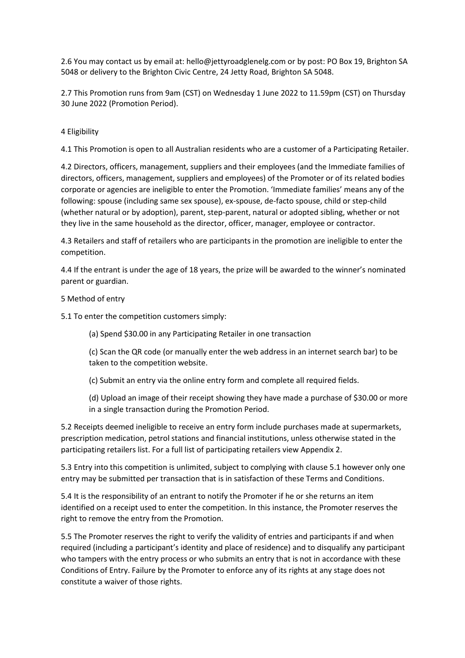2.6 You may contact us by email at: hello@jettyroadglenelg.com or by post: PO Box 19, Brighton SA 5048 or delivery to the Brighton Civic Centre, 24 Jetty Road, Brighton SA 5048.

2.7 This Promotion runs from 9am (CST) on Wednesday 1 June 2022 to 11.59pm (CST) on Thursday 30 June 2022 (Promotion Period).

## 4 Eligibility

4.1 This Promotion is open to all Australian residents who are a customer of a Participating Retailer.

4.2 Directors, officers, management, suppliers and their employees (and the Immediate families of directors, officers, management, suppliers and employees) of the Promoter or of its related bodies corporate or agencies are ineligible to enter the Promotion. 'Immediate families' means any of the following: spouse (including same sex spouse), ex-spouse, de-facto spouse, child or step-child (whether natural or by adoption), parent, step-parent, natural or adopted sibling, whether or not they live in the same household as the director, officer, manager, employee or contractor.

4.3 Retailers and staff of retailers who are participants in the promotion are ineligible to enter the competition.

4.4 If the entrant is under the age of 18 years, the prize will be awarded to the winner's nominated parent or guardian.

### 5 Method of entry

5.1 To enter the competition customers simply:

(a) Spend \$30.00 in any Participating Retailer in one transaction

(c) Scan the QR code (or manually enter the web address in an internet search bar) to be taken to the competition website.

(c) Submit an entry via the online entry form and complete all required fields.

(d) Upload an image of their receipt showing they have made a purchase of \$30.00 or more in a single transaction during the Promotion Period.

5.2 Receipts deemed ineligible to receive an entry form include purchases made at supermarkets, prescription medication, petrol stations and financial institutions, unless otherwise stated in the participating retailers list. For a full list of participating retailers view Appendix 2.

5.3 Entry into this competition is unlimited, subject to complying with clause 5.1 however only one entry may be submitted per transaction that is in satisfaction of these Terms and Conditions.

5.4 It is the responsibility of an entrant to notify the Promoter if he or she returns an item identified on a receipt used to enter the competition. In this instance, the Promoter reserves the right to remove the entry from the Promotion.

5.5 The Promoter reserves the right to verify the validity of entries and participants if and when required (including a participant's identity and place of residence) and to disqualify any participant who tampers with the entry process or who submits an entry that is not in accordance with these Conditions of Entry. Failure by the Promoter to enforce any of its rights at any stage does not constitute a waiver of those rights.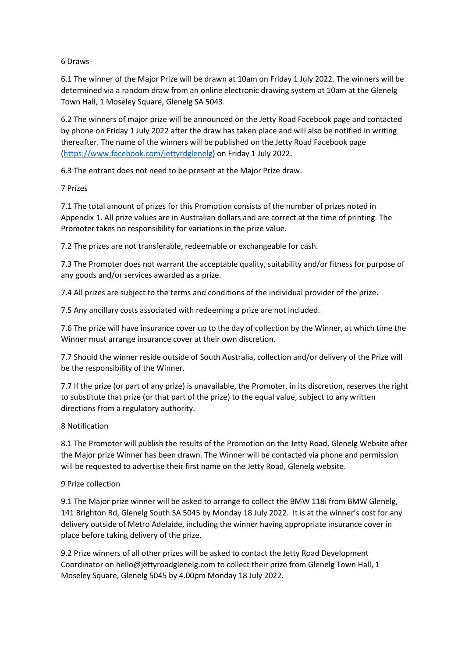## 6 Draws

6.1 The winner of the Major Prize will be drawn at 10am on Friday 1 July 2022. The winners will be determined via a random draw from an online electronic drawing system at 10am at the Glenelg Town Hall, 1 Moseley Square, Glenelg SA 5043.

6.2 The winners of major prize will be announced on the Jetty Road Facebook page and contacted by phone on Friday 1 July 2022 after the draw has taken place and will also be notified in writing thereafter. The name of the winners will be published on the Jetty Road Facebook page [\(https://www.facebook.com/jettyrdglenelg\)](https://www.facebook.com/jettyrdglenelg) on Friday 1 July 2022.

6.3 The entrant does not need to be present at the Major Prize draw.

## 7 Prizes

7.1 The total amount of prizes for this Promotion consists of the number of prizes noted in Appendix 1. All prize values are in Australian dollars and are correct at the time of printing. The Promoter takes no responsibility for variations in the prize value.

7.2 The prizes are not transferable, redeemable or exchangeable for cash.

7.3 The Promoter does not warrant the acceptable quality, suitability and/or fitness for purpose of any goods and/or services awarded as a prize.

7.4 All prizes are subject to the terms and conditions of the individual provider of the prize.

7.5 Any ancillary costs associated with redeeming a prize are not included.

7.6 The prize will have insurance cover up to the day of collection by the Winner, at which time the Winner must arrange insurance cover at their own discretion.

7.7 Should the winner reside outside of South Australia, collection and/or delivery of the Prize will be the responsibility of the Winner.

7.7 If the prize (or part of any prize) is unavailable, the Promoter, in its discretion, reserves the right to substitute that prize (or that part of the prize) to the equal value, subject to any written directions from a regulatory authority.

### 8 Notification

8.1 The Promoter will publish the results of the Promotion on the Jetty Road, Glenelg Website after the Major prize Winner has been drawn. The Winner will be contacted via phone and permission will be requested to advertise their first name on the Jetty Road, Glenelg website.

### 9 Prize collection

9.1 The Major prize winner will be asked to arrange to collect the BMW 118i from BMW Glenelg, 141 Brighton Rd, Glenelg South SA 5045 by Monday 18 July 2022. It is at the winner's cost for any delivery outside of Metro Adelaide, including the winner having appropriate insurance cover in place before taking delivery of the prize.

9.2 Prize winners of all other prizes will be asked to contact the Jetty Road Development Coordinator o[n hello@jettyroadglenelg.com](mailto:hello@jettyroadglenelg.com) to collect their prize from Glenelg Town Hall, 1 Moseley Square, Glenelg 5045 by 4.00pm Monday 18 July 2022.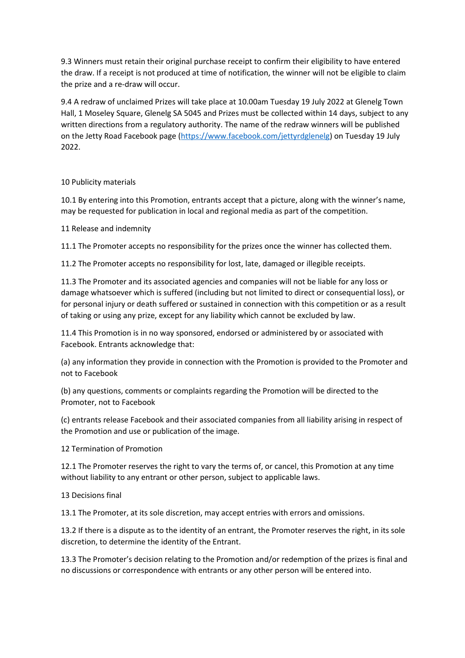9.3 Winners must retain their original purchase receipt to confirm their eligibility to have entered the draw. If a receipt is not produced at time of notification, the winner will not be eligible to claim the prize and a re-draw will occur.

9.4 A redraw of unclaimed Prizes will take place at 10.00am Tuesday 19 July 2022 at Glenelg Town Hall, 1 Moseley Square, Glenelg SA 5045 and Prizes must be collected within 14 days, subject to any written directions from a regulatory authority. The name of the redraw winners will be published on the Jetty Road Facebook page (https://www.facebook.com/jettyrdglenelg) on Tuesday 19 July 2022.

## 10 Publicity materials

10.1 By entering into this Promotion, entrants accept that a picture, along with the winner's name, may be requested for publication in local and regional media as part of the competition.

## 11 Release and indemnity

11.1 The Promoter accepts no responsibility for the prizes once the winner has collected them.

11.2 The Promoter accepts no responsibility for lost, late, damaged or illegible receipts.

11.3 The Promoter and its associated agencies and companies will not be liable for any loss or damage whatsoever which is suffered (including but not limited to direct or consequential loss), or for personal injury or death suffered or sustained in connection with this competition or as a result of taking or using any prize, except for any liability which cannot be excluded by law.

11.4 This Promotion is in no way sponsored, endorsed or administered by or associated with Facebook. Entrants acknowledge that:

(a) any information they provide in connection with the Promotion is provided to the Promoter and not to Facebook

(b) any questions, comments or complaints regarding the Promotion will be directed to the Promoter, not to Facebook

(c) entrants release Facebook and their associated companies from all liability arising in respect of the Promotion and use or publication of the image.

12 Termination of Promotion

12.1 The Promoter reserves the right to vary the terms of, or cancel, this Promotion at any time without liability to any entrant or other person, subject to applicable laws.

13 Decisions final

13.1 The Promoter, at its sole discretion, may accept entries with errors and omissions.

13.2 If there is a dispute as to the identity of an entrant, the Promoter reserves the right, in its sole discretion, to determine the identity of the Entrant.

13.3 The Promoter's decision relating to the Promotion and/or redemption of the prizes is final and no discussions or correspondence with entrants or any other person will be entered into.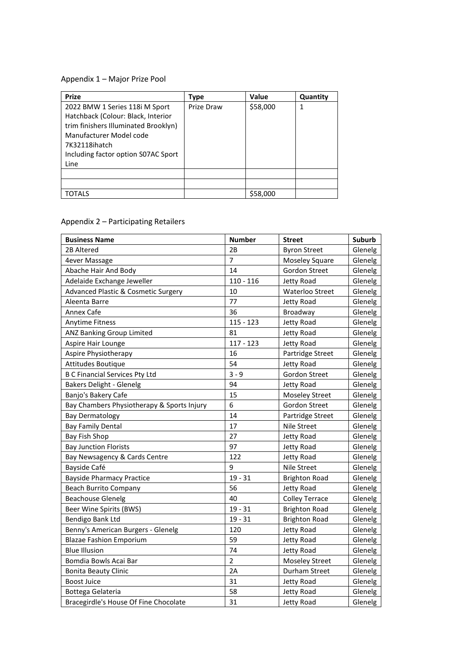# Appendix 1 – Major Prize Pool

| <b>Prize</b>                         | Type       | <b>Value</b> | Quantity |
|--------------------------------------|------------|--------------|----------|
| 2022 BMW 1 Series 118i M Sport       | Prize Draw | \$58,000     |          |
| Hatchback (Colour: Black, Interior   |            |              |          |
| trim finishers Illuminated Brooklyn) |            |              |          |
| Manufacturer Model code              |            |              |          |
| 7K32118ihatch                        |            |              |          |
| Including factor option S07AC Sport  |            |              |          |
| Line                                 |            |              |          |
|                                      |            |              |          |
|                                      |            |              |          |
| TOTALS                               |            | \$58,000     |          |

# Appendix 2 – Participating Retailers

| <b>Business Name</b>                           | <b>Number</b>  | <b>Street</b>          | Suburb  |
|------------------------------------------------|----------------|------------------------|---------|
| 2B Altered                                     | 2B             | <b>Byron Street</b>    | Glenelg |
| 4ever Massage                                  | $\overline{7}$ | <b>Moseley Square</b>  | Glenelg |
| Abache Hair And Body                           | 14             | <b>Gordon Street</b>   | Glenelg |
| Adelaide Exchange Jeweller                     | $110 - 116$    | Jetty Road             | Glenelg |
| <b>Advanced Plastic &amp; Cosmetic Surgery</b> | 10             | <b>Waterloo Street</b> | Glenelg |
| Aleenta Barre                                  | 77             | Jetty Road             | Glenelg |
| Annex Cafe                                     | 36             | Broadway               | Glenelg |
| <b>Anytime Fitness</b>                         | $115 - 123$    | Jetty Road             | Glenelg |
| ANZ Banking Group Limited                      | 81             | Jetty Road             | Glenelg |
| Aspire Hair Lounge                             | $117 - 123$    | Jetty Road             | Glenelg |
| Aspire Physiotherapy                           | 16             | Partridge Street       | Glenelg |
| Attitudes Boutique                             | 54             | Jetty Road             | Glenelg |
| <b>B C Financial Services Pty Ltd</b>          | $3 - 9$        | <b>Gordon Street</b>   | Glenelg |
| Bakers Delight - Glenelg                       | 94             | Jetty Road             | Glenelg |
| Banjo's Bakery Cafe                            | 15             | <b>Moseley Street</b>  | Glenelg |
| Bay Chambers Physiotherapy & Sports Injury     | 6              | Gordon Street          | Glenelg |
| <b>Bay Dermatology</b>                         | 14             | Partridge Street       | Glenelg |
| <b>Bay Family Dental</b>                       | 17             | Nile Street            | Glenelg |
| Bay Fish Shop                                  | 27             | Jetty Road             | Glenelg |
| <b>Bay Junction Florists</b>                   | 97             | Jetty Road             | Glenelg |
| Bay Newsagency & Cards Centre                  | 122            | Jetty Road             | Glenelg |
| Bayside Café                                   | 9              | Nile Street            | Glenelg |
| <b>Bayside Pharmacy Practice</b>               | $19 - 31$      | <b>Brighton Road</b>   | Glenelg |
| <b>Beach Burrito Company</b>                   | 56             | Jetty Road             | Glenelg |
| <b>Beachouse Glenelg</b>                       | 40             | <b>Colley Terrace</b>  | Glenelg |
| Beer Wine Spirits (BWS)                        | $19 - 31$      | <b>Brighton Road</b>   | Glenelg |
| Bendigo Bank Ltd                               | $19 - 31$      | <b>Brighton Road</b>   | Glenelg |
| Benny's American Burgers - Glenelg             | 120            | Jetty Road             | Glenelg |
| <b>Blazae Fashion Emporium</b>                 | 59             | Jetty Road             | Glenelg |
| <b>Blue Illusion</b>                           | 74             | Jetty Road             | Glenelg |
| Bomdia Bowls Acai Bar                          | $\overline{2}$ | <b>Moseley Street</b>  | Glenelg |
| <b>Bonita Beauty Clinic</b>                    | 2A             | Durham Street          | Glenelg |
| <b>Boost Juice</b>                             | 31             | Jetty Road             | Glenelg |
| Bottega Gelateria                              | 58             | Jetty Road             | Glenelg |
| Bracegirdle's House Of Fine Chocolate          | 31             | Jetty Road             | Glenelg |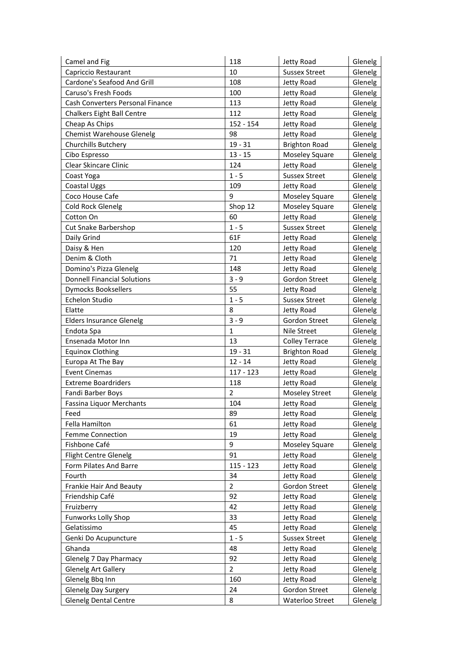| Camel and Fig                      | 118            | Jetty Road               | Glenelg            |
|------------------------------------|----------------|--------------------------|--------------------|
| Capriccio Restaurant               | 10             | <b>Sussex Street</b>     | Glenelg            |
| Cardone's Seafood And Grill        | 108            | Jetty Road               | Glenelg            |
| Caruso's Fresh Foods               | 100            | Jetty Road               | Glenelg            |
| Cash Converters Personal Finance   | 113            | Jetty Road               | Glenelg            |
| <b>Chalkers Eight Ball Centre</b>  | 112            | Jetty Road               | Glenelg            |
| Cheap As Chips                     | 152 - 154      | Jetty Road               | Glenelg            |
| <b>Chemist Warehouse Glenelg</b>   | 98             | Jetty Road               | Glenelg            |
| Churchills Butchery                | $19 - 31$      | <b>Brighton Road</b>     | Glenelg            |
| Cibo Espresso                      | $13 - 15$      | Moseley Square           | Glenelg            |
| Clear Skincare Clinic              | 124            | Jetty Road               | Glenelg            |
| Coast Yoga                         | $1 - 5$        | <b>Sussex Street</b>     | Glenelg            |
| Coastal Uggs                       | 109            | Jetty Road               | Glenelg            |
| Coco House Cafe                    | 9              | Moseley Square           | Glenelg            |
| Cold Rock Glenelg                  | Shop 12        | <b>Moseley Square</b>    | Glenelg            |
| Cotton On                          | 60             | Jetty Road               | Glenelg            |
| <b>Cut Snake Barbershop</b>        | $1 - 5$        | <b>Sussex Street</b>     | Glenelg            |
| Daily Grind                        | 61F            | Jetty Road               | Glenelg            |
| Daisy & Hen                        | 120            | Jetty Road               | Glenelg            |
| Denim & Cloth                      | 71             | Jetty Road               | Glenelg            |
| Domino's Pizza Glenelg             | 148            | Jetty Road               | Glenelg            |
| <b>Donnell Financial Solutions</b> | $3 - 9$        | Gordon Street            | Glenelg            |
| <b>Dymocks Booksellers</b>         | 55             | Jetty Road               | Glenelg            |
| Echelon Studio                     | $1 - 5$        | <b>Sussex Street</b>     | Glenelg            |
| Elatte                             | 8              | Jetty Road               | Glenelg            |
| <b>Elders Insurance Glenelg</b>    | $3 - 9$        | Gordon Street            | Glenelg            |
| Endota Spa                         | $\mathbf{1}$   | Nile Street              | Glenelg            |
| Ensenada Motor Inn                 | 13             | <b>Colley Terrace</b>    | Glenelg            |
| <b>Equinox Clothing</b>            | $19 - 31$      | <b>Brighton Road</b>     | Glenelg            |
| Europa At The Bay                  | $12 - 14$      | Jetty Road               | Glenelg            |
| <b>Event Cinemas</b>               | $117 - 123$    | Jetty Road               | Glenelg            |
| <b>Extreme Boardriders</b>         | 118            | Jetty Road               | Glenelg            |
| Fandi Barber Boys                  | $\overline{2}$ | <b>Moseley Street</b>    | Glenelg            |
| <b>Fassina Liquor Merchants</b>    | 104            | Jetty Road               | Glenelg            |
| Feed                               | 89             | Jetty Road               | Glenelg            |
| Fella Hamilton                     | 61             | Jetty Road               | Glenelg            |
| Femme Connection                   | 19             | Jetty Road               | Glenelg            |
| Fishbone Café                      | 9              | Moseley Square           | Glenelg            |
| <b>Flight Centre Glenelg</b>       | 91             | Jetty Road               | Glenelg            |
| Form Pilates And Barre             | $115 - 123$    | Jetty Road               | Glenelg            |
| Fourth                             | 34             | Jetty Road               | Glenelg            |
| Frankie Hair And Beauty            | $\overline{2}$ | Gordon Street            | Glenelg            |
| Friendship Café                    | 92             | Jetty Road               | Glenelg            |
| Fruizberry                         | 42             | Jetty Road               | Glenelg            |
| <b>Funworks Lolly Shop</b>         | 33             | Jetty Road               | Glenelg            |
| Gelatissimo                        | 45             | Jetty Road               | Glenelg            |
| Genki Do Acupuncture               | $1 - 5$        | <b>Sussex Street</b>     | Glenelg            |
|                                    |                |                          |                    |
| Ghanda<br>Glenelg 7 Day Pharmacy   | 48<br>92       | Jetty Road<br>Jetty Road | Glenelg<br>Glenelg |
| <b>Glenelg Art Gallery</b>         | $\overline{2}$ | Jetty Road               | Glenelg            |
|                                    | 160            |                          |                    |
| Glenelg Bbq Inn                    |                | Jetty Road               | Glenelg            |
| Glenelg Day Surgery                | 24             | Gordon Street            | Glenelg            |
| <b>Glenelg Dental Centre</b>       | 8              | Waterloo Street          | Glenelg            |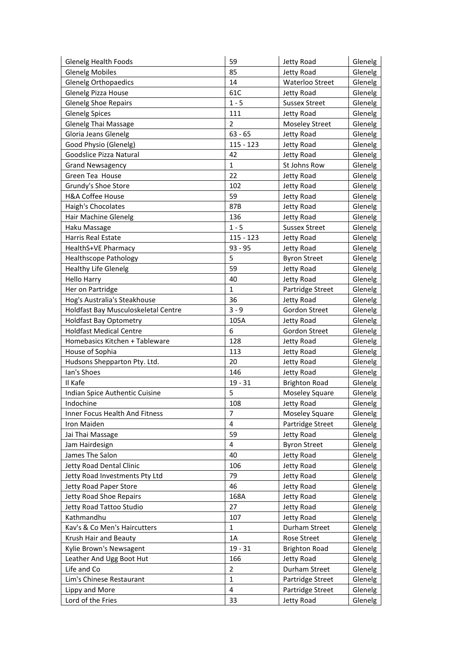| <b>Glenelg Health Foods</b>         | 59             | Jetty Road             | Glenelg |
|-------------------------------------|----------------|------------------------|---------|
| <b>Glenelg Mobiles</b>              | 85             | Jetty Road             | Glenelg |
| <b>Glenelg Orthopaedics</b>         | 14             | <b>Waterloo Street</b> | Glenelg |
| Glenelg Pizza House                 | 61C            | Jetty Road             | Glenelg |
| <b>Glenelg Shoe Repairs</b>         | $1 - 5$        | <b>Sussex Street</b>   | Glenelg |
| <b>Glenelg Spices</b>               | 111            | Jetty Road             | Glenelg |
| Glenelg Thai Massage                | $\overline{2}$ | <b>Moseley Street</b>  | Glenelg |
| Gloria Jeans Glenelg                | $63 - 65$      | Jetty Road             | Glenelg |
| Good Physio (Glenelg)               | $115 - 123$    | Jetty Road             | Glenelg |
| Goodslice Pizza Natural             | 42             | Jetty Road             | Glenelg |
| <b>Grand Newsagency</b>             | $\mathbf{1}$   | St Johns Row           | Glenelg |
| Green Tea House                     | 22             | Jetty Road             | Glenelg |
| Grundy's Shoe Store                 | 102            | Jetty Road             | Glenelg |
| <b>H&amp;A Coffee House</b>         | 59             | Jetty Road             | Glenelg |
| Haigh's Chocolates                  | 87B            | Jetty Road             | Glenelg |
| Hair Machine Glenelg                | 136            | Jetty Road             | Glenelg |
| Haku Massage                        | $1 - 5$        | <b>Sussex Street</b>   | Glenelg |
| <b>Harris Real Estate</b>           | $115 - 123$    | Jetty Road             | Glenelg |
| HealthS+VE Pharmacy                 | $93 - 95$      | Jetty Road             | Glenelg |
| <b>Healthscope Pathology</b>        | 5              | <b>Byron Street</b>    | Glenelg |
| <b>Healthy Life Glenelg</b>         | 59             | Jetty Road             | Glenelg |
| <b>Hello Harry</b>                  | 40             | Jetty Road             | Glenelg |
| Her on Partridge                    | $\mathbf{1}$   | Partridge Street       | Glenelg |
| Hog's Australia's Steakhouse        | 36             | Jetty Road             | Glenelg |
| Holdfast Bay Musculoskeletal Centre | $3 - 9$        | Gordon Street          | Glenelg |
| <b>Holdfast Bay Optometry</b>       | 105A           | Jetty Road             | Glenelg |
| <b>Holdfast Medical Centre</b>      | 6              | Gordon Street          | Glenelg |
| Homebasics Kitchen + Tableware      | 128            | Jetty Road             | Glenelg |
| House of Sophia                     | 113            | Jetty Road             | Glenelg |
| Hudsons Shepparton Pty. Ltd.        | 20             | Jetty Road             | Glenelg |
| lan's Shoes                         | 146            | Jetty Road             | Glenelg |
| Il Kafe                             | $19 - 31$      | <b>Brighton Road</b>   | Glenelg |
| Indian Spice Authentic Cuisine      | 5              | Moseley Square         | Glenelg |
| Indochine                           | 108            | Jetty Road             | Glenelg |
| Inner Focus Health And Fitness      | 7              | <b>Moseley Square</b>  | Glenelg |
| Iron Maiden                         | 4              | Partridge Street       | Glenelg |
| Jai Thai Massage                    | 59             | Jetty Road             | Glenelg |
| Jam Hairdesign                      | 4              | <b>Byron Street</b>    | Glenelg |
| James The Salon                     | 40             | Jetty Road             | Glenelg |
| Jetty Road Dental Clinic            | 106            | Jetty Road             | Glenelg |
| Jetty Road Investments Pty Ltd      | 79             | Jetty Road             | Glenelg |
| Jetty Road Paper Store              | 46             | Jetty Road             | Glenelg |
| Jetty Road Shoe Repairs             | 168A           | Jetty Road             | Glenelg |
| Jetty Road Tattoo Studio            | 27             | Jetty Road             | Glenelg |
| Kathmandhu                          | 107            | Jetty Road             | Glenelg |
| Kav's & Co Men's Haircutters        | $\mathbf{1}$   | Durham Street          | Glenelg |
| Krush Hair and Beauty               | 1A             | Rose Street            | Glenelg |
| Kylie Brown's Newsagent             | $19 - 31$      | <b>Brighton Road</b>   | Glenelg |
| Leather And Ugg Boot Hut            | 166            | Jetty Road             | Glenelg |
| Life and Co                         | $\overline{2}$ | Durham Street          | Glenelg |
| Lim's Chinese Restaurant            | $\mathbf{1}$   | Partridge Street       | Glenelg |
| Lippy and More                      | 4              | Partridge Street       | Glenelg |
| Lord of the Fries                   | 33             | Jetty Road             | Glenelg |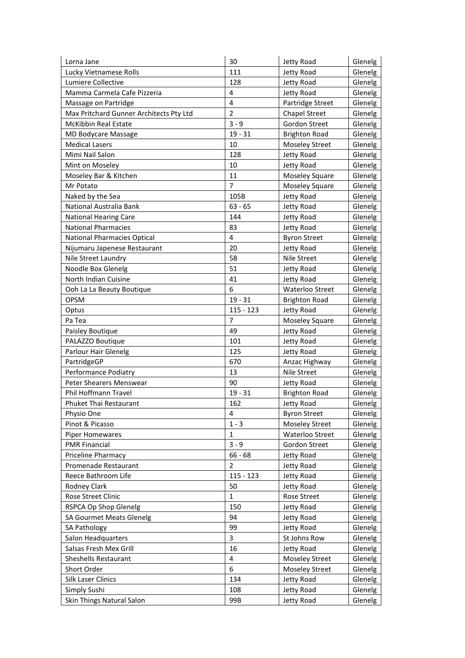| Lorna Jane                               | 30             | Jetty Road                   | Glenelg            |
|------------------------------------------|----------------|------------------------------|--------------------|
| Lucky Vietnamese Rolls                   | 111            | Jetty Road                   | Glenelg            |
| Lumiere Collective                       | 128            | Jetty Road                   | Glenelg            |
| Mamma Carmela Cafe Pizzeria              | 4              | Jetty Road                   | Glenelg            |
| Massage on Partridge                     | $\overline{4}$ | Partridge Street             | Glenelg            |
| Max Pritchard Gunner Architects Pty Ltd  | $\overline{2}$ | <b>Chapel Street</b>         | Glenelg            |
| <b>McKibbin Real Estate</b>              | $3 - 9$        | Gordon Street                | Glenelg            |
| MD Bodycare Massage                      | $19 - 31$      | <b>Brighton Road</b>         | Glenelg            |
| <b>Medical Lasers</b>                    | 10             | <b>Moseley Street</b>        | Glenelg            |
| Mimi Nail Salon                          | 128            | Jetty Road                   | Glenelg            |
| Mint on Moseley                          | 10             | Jetty Road                   | Glenelg            |
| Moseley Bar & Kitchen                    | 11             | <b>Moseley Square</b>        | Glenelg            |
| Mr Potato                                | 7              | <b>Moseley Square</b>        | Glenelg            |
| Naked by the Sea                         | 105B           | Jetty Road                   | Glenelg            |
| National Australia Bank                  | $63 - 65$      | Jetty Road                   | Glenelg            |
| <b>National Hearing Care</b>             | 144            | Jetty Road                   | Glenelg            |
| <b>National Pharmacies</b>               | 83             | Jetty Road                   | Glenelg            |
| <b>National Pharmacies Optical</b>       | 4              | <b>Byron Street</b>          | Glenelg            |
| Nijumaru Japenese Restaurant             | 20             | Jetty Road                   | Glenelg            |
| Nile Street Laundry                      | 5B             | Nile Street                  | Glenelg            |
| Noodle Box Glenelg                       | 51             | Jetty Road                   | Glenelg            |
| North Indian Cuisine                     | 41             | Jetty Road                   | Glenelg            |
|                                          | 6              | Waterloo Street              | Glenelg            |
| Ooh La La Beauty Boutique                | $19 - 31$      |                              |                    |
| <b>OPSM</b>                              | $115 - 123$    | <b>Brighton Road</b>         | Glenelg            |
| Optus                                    | 7              | Jetty Road                   | Glenelg            |
| Pa Tea                                   | 49             | <b>Moseley Square</b>        | Glenelg<br>Glenelg |
| Paisley Boutique                         |                | Jetty Road                   |                    |
| PALAZZO Boutique<br>Parlour Hair Glenelg | 101<br>125     | Jetty Road                   | Glenelg            |
| PartridgeGP                              | 670            | Jetty Road                   | Glenelg            |
| Performance Podiatry                     | 13             | Anzac Highway<br>Nile Street | Glenelg<br>Glenelg |
|                                          | 90             |                              |                    |
| Peter Shearers Menswear                  |                | Jetty Road                   | Glenelg            |
| Phil Hoffmann Travel                     | $19 - 31$      | <b>Brighton Road</b>         | Glenelg            |
| <b>Phuket Thai Restaurant</b>            | 162            | Jetty Road                   | Glenelg            |
| Physio One                               | 4              | <b>Byron Street</b>          | Glenelg            |
| Pinot & Picasso                          | $1 - 3$        | <b>Moseley Street</b>        | Glenelg            |
| <b>Piper Homewares</b>                   | 1              | Waterloo Street              | Glenelg            |
| <b>PMR Financial</b>                     | $3 - 9$        | Gordon Street                | Glenelg            |
| Priceline Pharmacy                       | $66 - 68$      | Jetty Road                   | Glenelg            |
| Promenade Restaurant                     | 2              | Jetty Road                   | Glenelg            |
| Reece Bathroom Life                      | $115 - 123$    | Jetty Road                   | Glenelg            |
| Rodney Clark                             | 50             | Jetty Road                   | Glenelg            |
| Rose Street Clinic                       | $\mathbf{1}$   | Rose Street                  | Glenelg            |
| RSPCA Op Shop Glenelg                    | 150            | Jetty Road                   | Glenelg            |
| <b>SA Gourmet Meats Glenelg</b>          | 94             | Jetty Road                   | Glenelg            |
| SA Pathology                             | 99             | Jetty Road                   | Glenelg            |
| Salon Headquarters                       | 3              | St Johns Row                 | Glenelg            |
| Salsas Fresh Mex Grill                   | 16             | Jetty Road                   | Glenelg            |
| Sheshells Restaurant                     | 4              | <b>Moseley Street</b>        | Glenelg            |
| Short Order                              | 6              | <b>Moseley Street</b>        | Glenelg            |
| Silk Laser Clinics                       | 134            | Jetty Road                   | Glenelg            |
| Simply Sushi                             | 108            | Jetty Road                   | Glenelg            |
| Skin Things Natural Salon                | 99B            | Jetty Road                   | Glenelg            |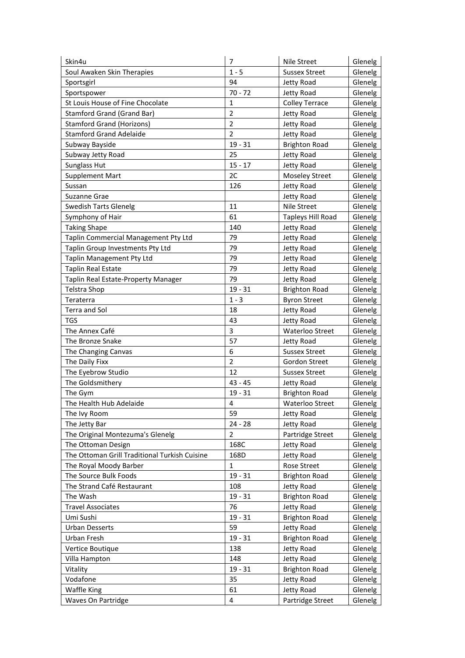| $1 - 5$<br><b>Sussex Street</b><br>Glenelg<br>Soul Awaken Skin Therapies<br>94<br>Jetty Road<br>Glenelg<br>Sportsgirl<br>$70 - 72$<br>Jetty Road<br>Sportspower<br>Glenelg<br>St Louis House of Fine Chocolate<br>1<br><b>Colley Terrace</b><br>Glenelg<br>$\overline{2}$<br>Stamford Grand (Grand Bar)<br>Jetty Road<br>Glenelg<br>$\overline{2}$<br><b>Stamford Grand (Horizons)</b><br>Jetty Road<br>Glenelg<br>$\overline{2}$<br><b>Stamford Grand Adelaide</b><br>Jetty Road<br>Glenelg<br>$19 - 31$<br>Subway Bayside<br><b>Brighton Road</b><br>Glenelg<br>25<br>Glenelg<br>Subway Jetty Road<br>Jetty Road<br>$15 - 17$<br>Sunglass Hut<br>Glenelg<br>Jetty Road<br>2C<br><b>Supplement Mart</b><br><b>Moseley Street</b><br>Glenelg<br>126<br>Jetty Road<br>Glenelg<br>Sussan<br>Suzanne Grae<br>Jetty Road<br>Glenelg<br>11<br>Nile Street<br><b>Swedish Tarts Glenelg</b><br>Glenelg<br>61<br>Symphony of Hair<br><b>Tapleys Hill Road</b><br>Glenelg<br><b>Taking Shape</b><br>140<br>Glenelg<br>Jetty Road<br>Taplin Commercial Management Pty Ltd<br>79<br>Jetty Road<br>Glenelg<br>79<br>Taplin Group Investments Pty Ltd<br>Glenelg<br>Jetty Road<br>79<br>Taplin Management Pty Ltd<br>Jetty Road<br>Glenelg |
|-------------------------------------------------------------------------------------------------------------------------------------------------------------------------------------------------------------------------------------------------------------------------------------------------------------------------------------------------------------------------------------------------------------------------------------------------------------------------------------------------------------------------------------------------------------------------------------------------------------------------------------------------------------------------------------------------------------------------------------------------------------------------------------------------------------------------------------------------------------------------------------------------------------------------------------------------------------------------------------------------------------------------------------------------------------------------------------------------------------------------------------------------------------------------------------------------------------------------------|
|                                                                                                                                                                                                                                                                                                                                                                                                                                                                                                                                                                                                                                                                                                                                                                                                                                                                                                                                                                                                                                                                                                                                                                                                                               |
|                                                                                                                                                                                                                                                                                                                                                                                                                                                                                                                                                                                                                                                                                                                                                                                                                                                                                                                                                                                                                                                                                                                                                                                                                               |
|                                                                                                                                                                                                                                                                                                                                                                                                                                                                                                                                                                                                                                                                                                                                                                                                                                                                                                                                                                                                                                                                                                                                                                                                                               |
|                                                                                                                                                                                                                                                                                                                                                                                                                                                                                                                                                                                                                                                                                                                                                                                                                                                                                                                                                                                                                                                                                                                                                                                                                               |
|                                                                                                                                                                                                                                                                                                                                                                                                                                                                                                                                                                                                                                                                                                                                                                                                                                                                                                                                                                                                                                                                                                                                                                                                                               |
|                                                                                                                                                                                                                                                                                                                                                                                                                                                                                                                                                                                                                                                                                                                                                                                                                                                                                                                                                                                                                                                                                                                                                                                                                               |
|                                                                                                                                                                                                                                                                                                                                                                                                                                                                                                                                                                                                                                                                                                                                                                                                                                                                                                                                                                                                                                                                                                                                                                                                                               |
|                                                                                                                                                                                                                                                                                                                                                                                                                                                                                                                                                                                                                                                                                                                                                                                                                                                                                                                                                                                                                                                                                                                                                                                                                               |
|                                                                                                                                                                                                                                                                                                                                                                                                                                                                                                                                                                                                                                                                                                                                                                                                                                                                                                                                                                                                                                                                                                                                                                                                                               |
|                                                                                                                                                                                                                                                                                                                                                                                                                                                                                                                                                                                                                                                                                                                                                                                                                                                                                                                                                                                                                                                                                                                                                                                                                               |
|                                                                                                                                                                                                                                                                                                                                                                                                                                                                                                                                                                                                                                                                                                                                                                                                                                                                                                                                                                                                                                                                                                                                                                                                                               |
|                                                                                                                                                                                                                                                                                                                                                                                                                                                                                                                                                                                                                                                                                                                                                                                                                                                                                                                                                                                                                                                                                                                                                                                                                               |
|                                                                                                                                                                                                                                                                                                                                                                                                                                                                                                                                                                                                                                                                                                                                                                                                                                                                                                                                                                                                                                                                                                                                                                                                                               |
|                                                                                                                                                                                                                                                                                                                                                                                                                                                                                                                                                                                                                                                                                                                                                                                                                                                                                                                                                                                                                                                                                                                                                                                                                               |
|                                                                                                                                                                                                                                                                                                                                                                                                                                                                                                                                                                                                                                                                                                                                                                                                                                                                                                                                                                                                                                                                                                                                                                                                                               |
|                                                                                                                                                                                                                                                                                                                                                                                                                                                                                                                                                                                                                                                                                                                                                                                                                                                                                                                                                                                                                                                                                                                                                                                                                               |
|                                                                                                                                                                                                                                                                                                                                                                                                                                                                                                                                                                                                                                                                                                                                                                                                                                                                                                                                                                                                                                                                                                                                                                                                                               |
|                                                                                                                                                                                                                                                                                                                                                                                                                                                                                                                                                                                                                                                                                                                                                                                                                                                                                                                                                                                                                                                                                                                                                                                                                               |
|                                                                                                                                                                                                                                                                                                                                                                                                                                                                                                                                                                                                                                                                                                                                                                                                                                                                                                                                                                                                                                                                                                                                                                                                                               |
| <b>Taplin Real Estate</b>                                                                                                                                                                                                                                                                                                                                                                                                                                                                                                                                                                                                                                                                                                                                                                                                                                                                                                                                                                                                                                                                                                                                                                                                     |
| 79<br>Jetty Road<br>Glenelg                                                                                                                                                                                                                                                                                                                                                                                                                                                                                                                                                                                                                                                                                                                                                                                                                                                                                                                                                                                                                                                                                                                                                                                                   |
| 79<br>Glenelg<br>Taplin Real Estate-Property Manager<br>Jetty Road                                                                                                                                                                                                                                                                                                                                                                                                                                                                                                                                                                                                                                                                                                                                                                                                                                                                                                                                                                                                                                                                                                                                                            |
| $19 - 31$<br><b>Telstra Shop</b><br><b>Brighton Road</b><br>Glenelg                                                                                                                                                                                                                                                                                                                                                                                                                                                                                                                                                                                                                                                                                                                                                                                                                                                                                                                                                                                                                                                                                                                                                           |
| $1 - 3$<br>Teraterra<br><b>Byron Street</b><br>Glenelg                                                                                                                                                                                                                                                                                                                                                                                                                                                                                                                                                                                                                                                                                                                                                                                                                                                                                                                                                                                                                                                                                                                                                                        |
| Terra and Sol<br>18<br>Jetty Road<br>Glenelg                                                                                                                                                                                                                                                                                                                                                                                                                                                                                                                                                                                                                                                                                                                                                                                                                                                                                                                                                                                                                                                                                                                                                                                  |
| <b>TGS</b><br>43<br>Jetty Road<br>Glenelg                                                                                                                                                                                                                                                                                                                                                                                                                                                                                                                                                                                                                                                                                                                                                                                                                                                                                                                                                                                                                                                                                                                                                                                     |
| 3<br>The Annex Café<br><b>Waterloo Street</b><br>Glenelg                                                                                                                                                                                                                                                                                                                                                                                                                                                                                                                                                                                                                                                                                                                                                                                                                                                                                                                                                                                                                                                                                                                                                                      |
| 57<br>The Bronze Snake<br>Jetty Road<br>Glenelg                                                                                                                                                                                                                                                                                                                                                                                                                                                                                                                                                                                                                                                                                                                                                                                                                                                                                                                                                                                                                                                                                                                                                                               |
| 6<br>The Changing Canvas<br><b>Sussex Street</b><br>Glenelg                                                                                                                                                                                                                                                                                                                                                                                                                                                                                                                                                                                                                                                                                                                                                                                                                                                                                                                                                                                                                                                                                                                                                                   |
| $\overline{2}$<br>The Daily Fixx<br>Gordon Street<br>Glenelg                                                                                                                                                                                                                                                                                                                                                                                                                                                                                                                                                                                                                                                                                                                                                                                                                                                                                                                                                                                                                                                                                                                                                                  |
| 12<br>The Eyebrow Studio<br>Glenelg<br><b>Sussex Street</b>                                                                                                                                                                                                                                                                                                                                                                                                                                                                                                                                                                                                                                                                                                                                                                                                                                                                                                                                                                                                                                                                                                                                                                   |
| The Goldsmithery<br>$43 - 45$<br>Jetty Road<br>Glenelg                                                                                                                                                                                                                                                                                                                                                                                                                                                                                                                                                                                                                                                                                                                                                                                                                                                                                                                                                                                                                                                                                                                                                                        |
| $19 - 31$<br><b>Brighton Road</b><br>Glenelg<br>The Gym                                                                                                                                                                                                                                                                                                                                                                                                                                                                                                                                                                                                                                                                                                                                                                                                                                                                                                                                                                                                                                                                                                                                                                       |
| The Health Hub Adelaide<br>4<br>Glenelg<br>Waterloo Street                                                                                                                                                                                                                                                                                                                                                                                                                                                                                                                                                                                                                                                                                                                                                                                                                                                                                                                                                                                                                                                                                                                                                                    |
| 59<br>The Ivy Room<br>Jetty Road<br>Glenelg                                                                                                                                                                                                                                                                                                                                                                                                                                                                                                                                                                                                                                                                                                                                                                                                                                                                                                                                                                                                                                                                                                                                                                                   |
| $24 - 28$<br>The Jetty Bar<br>Jetty Road<br>Glenelg                                                                                                                                                                                                                                                                                                                                                                                                                                                                                                                                                                                                                                                                                                                                                                                                                                                                                                                                                                                                                                                                                                                                                                           |
| $\overline{2}$<br>The Original Montezuma's Glenelg<br>Partridge Street<br>Glenelg                                                                                                                                                                                                                                                                                                                                                                                                                                                                                                                                                                                                                                                                                                                                                                                                                                                                                                                                                                                                                                                                                                                                             |
| 168C<br>The Ottoman Design<br>Jetty Road<br>Glenelg                                                                                                                                                                                                                                                                                                                                                                                                                                                                                                                                                                                                                                                                                                                                                                                                                                                                                                                                                                                                                                                                                                                                                                           |
| The Ottoman Grill Traditional Turkish Cuisine<br>168D<br>Jetty Road<br>Glenelg                                                                                                                                                                                                                                                                                                                                                                                                                                                                                                                                                                                                                                                                                                                                                                                                                                                                                                                                                                                                                                                                                                                                                |
| $\mathbf{1}$<br>Rose Street<br>The Royal Moody Barber<br>Glenelg                                                                                                                                                                                                                                                                                                                                                                                                                                                                                                                                                                                                                                                                                                                                                                                                                                                                                                                                                                                                                                                                                                                                                              |
| The Source Bulk Foods<br>$19 - 31$<br>Glenelg<br><b>Brighton Road</b>                                                                                                                                                                                                                                                                                                                                                                                                                                                                                                                                                                                                                                                                                                                                                                                                                                                                                                                                                                                                                                                                                                                                                         |
| 108<br>The Strand Café Restaurant<br>Jetty Road<br>Glenelg                                                                                                                                                                                                                                                                                                                                                                                                                                                                                                                                                                                                                                                                                                                                                                                                                                                                                                                                                                                                                                                                                                                                                                    |
| $19 - 31$<br>The Wash<br><b>Brighton Road</b><br>Glenelg                                                                                                                                                                                                                                                                                                                                                                                                                                                                                                                                                                                                                                                                                                                                                                                                                                                                                                                                                                                                                                                                                                                                                                      |
| 76<br>Glenelg<br><b>Travel Associates</b><br>Jetty Road                                                                                                                                                                                                                                                                                                                                                                                                                                                                                                                                                                                                                                                                                                                                                                                                                                                                                                                                                                                                                                                                                                                                                                       |
| Umi Sushi<br>$19 - 31$<br><b>Brighton Road</b><br>Glenelg                                                                                                                                                                                                                                                                                                                                                                                                                                                                                                                                                                                                                                                                                                                                                                                                                                                                                                                                                                                                                                                                                                                                                                     |
| 59<br>Glenelg<br><b>Urban Desserts</b><br>Jetty Road                                                                                                                                                                                                                                                                                                                                                                                                                                                                                                                                                                                                                                                                                                                                                                                                                                                                                                                                                                                                                                                                                                                                                                          |
| $19 - 31$<br>Urban Fresh<br><b>Brighton Road</b><br>Glenelg                                                                                                                                                                                                                                                                                                                                                                                                                                                                                                                                                                                                                                                                                                                                                                                                                                                                                                                                                                                                                                                                                                                                                                   |
| Vertice Boutique<br>138<br>Jetty Road<br>Glenelg                                                                                                                                                                                                                                                                                                                                                                                                                                                                                                                                                                                                                                                                                                                                                                                                                                                                                                                                                                                                                                                                                                                                                                              |
| Villa Hampton<br>148<br>Jetty Road<br>Glenelg                                                                                                                                                                                                                                                                                                                                                                                                                                                                                                                                                                                                                                                                                                                                                                                                                                                                                                                                                                                                                                                                                                                                                                                 |
| $19 - 31$<br>Vitality<br><b>Brighton Road</b><br>Glenelg                                                                                                                                                                                                                                                                                                                                                                                                                                                                                                                                                                                                                                                                                                                                                                                                                                                                                                                                                                                                                                                                                                                                                                      |
| 35<br>Vodafone<br>Jetty Road<br>Glenelg                                                                                                                                                                                                                                                                                                                                                                                                                                                                                                                                                                                                                                                                                                                                                                                                                                                                                                                                                                                                                                                                                                                                                                                       |
| 61<br>Jetty Road<br><b>Waffle King</b><br>Glenelg                                                                                                                                                                                                                                                                                                                                                                                                                                                                                                                                                                                                                                                                                                                                                                                                                                                                                                                                                                                                                                                                                                                                                                             |
| Waves On Partridge<br>4<br>Partridge Street<br>Glenelg                                                                                                                                                                                                                                                                                                                                                                                                                                                                                                                                                                                                                                                                                                                                                                                                                                                                                                                                                                                                                                                                                                                                                                        |